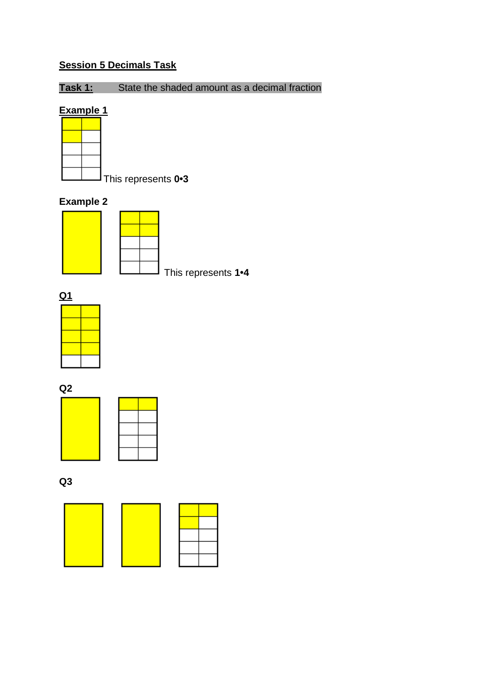## **Session 5 Decimals Task**

**Task 1:** State the shaded amount as a decimal fraction

#### **Example 1**



This represents **0•3**

#### **Example 2**



This represents **1•4**



**Q2**





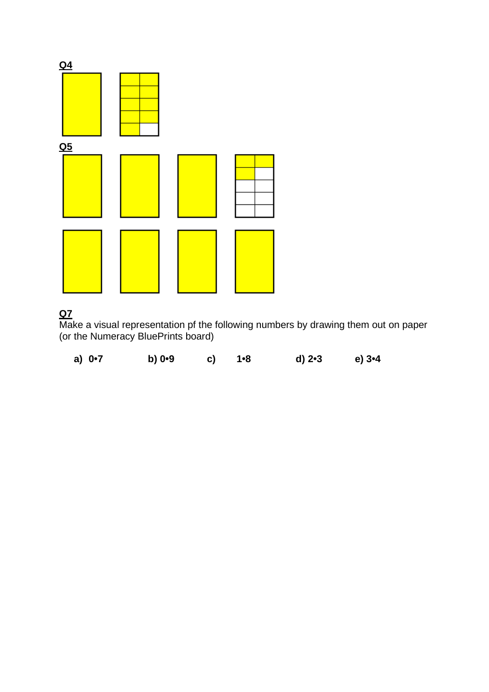

#### **Q7**

Make a visual representation pf the following numbers by drawing them out on paper (or the Numeracy BluePrints board)

| a) $0 - 7$ | b) $0.9$ | c) 1•8 | d) 2•3 | e) $3 - 4$ |
|------------|----------|--------|--------|------------|
|            |          |        |        |            |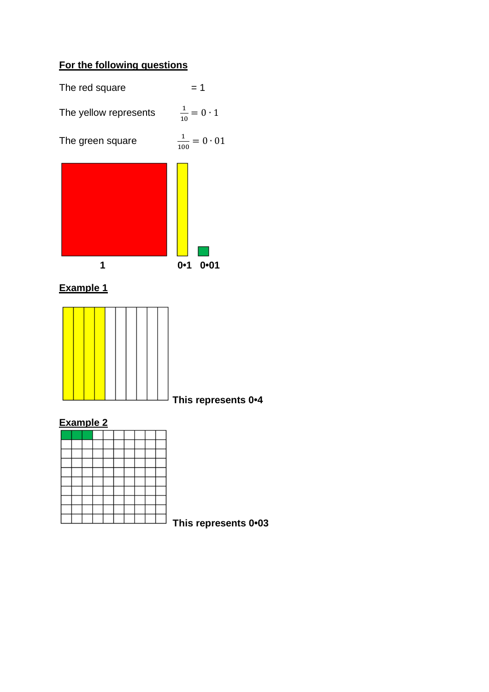## **For the following questions**



**Example 1**



**This represents 0•4**

## **Example 2**

**This represents 0•03**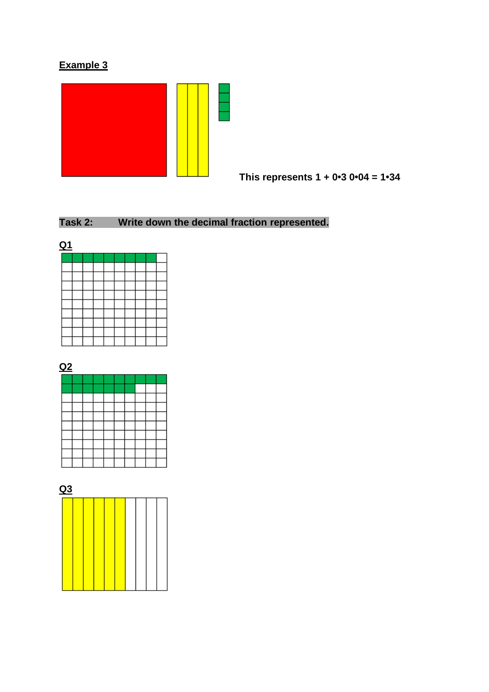## **Example 3**



**This represents 1 + 0•3 0•04 = 1•34**

## **Task 2: Write down the decimal fraction represented.**







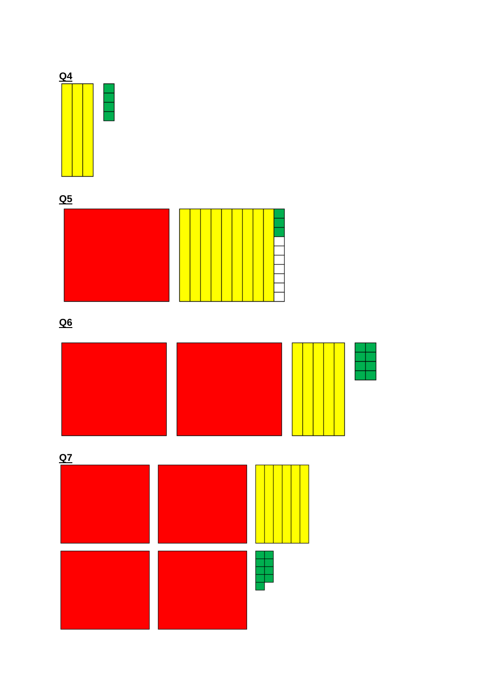

**Q5**





**Q6**

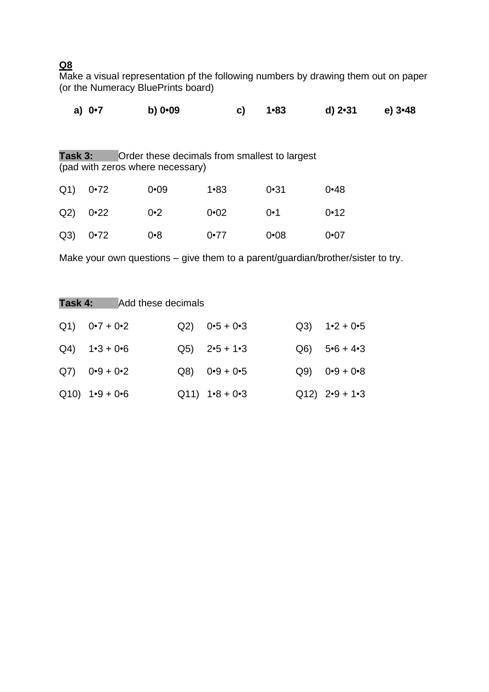#### **Q8**

Make a visual representation pf the following numbers by drawing them out on paper (or the Numeracy BluePrints board)

|                | a) $0.7$ | $b)$ 0 $-09$                     | C)                                            | $1 - 83$ | $d)$ 2 $-31$ | $e)$ 3 $-48$ |
|----------------|----------|----------------------------------|-----------------------------------------------|----------|--------------|--------------|
| Task 3:        |          | (pad with zeros where necessary) | Order these decimals from smallest to largest |          |              |              |
| Q <sub>1</sub> | $0 - 72$ | $0 - 09$                         | $1 - 83$                                      | 0•31     | $0 - 48$     |              |
| Q2)            | 0•22     | 0•2                              | $0 - 02$                                      | $0 - 1$  | 0•12         |              |
| Q <sub>3</sub> | $0 - 72$ | $0 - 8$                          | 0.77                                          | $0 - 08$ | $0\cdot 07$  |              |

Make your own questions – give them to a parent/guardian/brother/sister to try.

| Task 4: |                                 | Add these decimals |                                |      |                                 |
|---------|---------------------------------|--------------------|--------------------------------|------|---------------------------------|
|         | $Q1$ $Q+7+Q-2$                  |                    | $Q2$ ) $0.5 + 0.3$             |      | $Q3$ ) $1 \cdot 2 + 0 \cdot 5$  |
|         | $Q4$ ) $1 \cdot 3 + 0 \cdot 6$  |                    | $Q5$ ) $2 \cdot 5 + 1 \cdot 3$ |      | $Q6$ ) $5 \cdot 6 + 4 \cdot 3$  |
|         | $Q7$ ) $0.9 + 0.2$              |                    | $Q8$ ) $0.9 + 0.5$             | Q(9) | $0.9 + 0.8$                     |
|         | $Q10$ ) $1 \cdot 9 + 0 \cdot 6$ |                    | $Q11)$ 1.8 + 0.3               |      | $Q12$ ) $2 \cdot 9 + 1 \cdot 3$ |